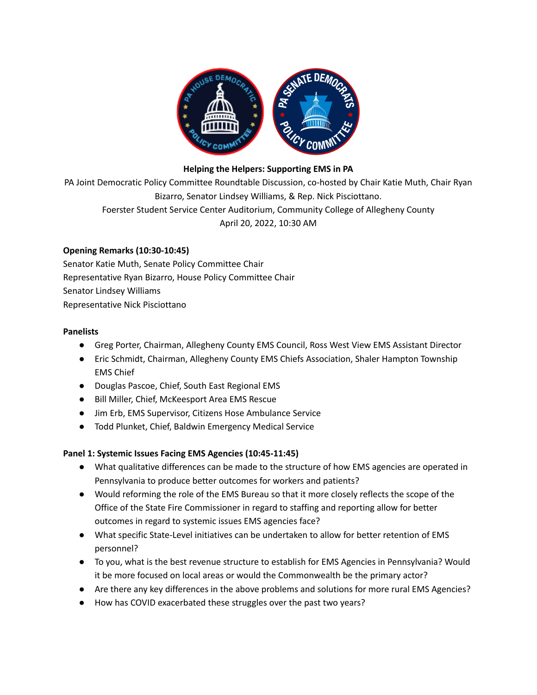

### **Helping the Helpers: Supporting EMS in PA**

PA Joint Democratic Policy Committee Roundtable Discussion, co-hosted by Chair Katie Muth, Chair Ryan Bizarro, Senator Lindsey Williams, & Rep. Nick Pisciottano. Foerster Student Service Center Auditorium, Community College of Allegheny County April 20, 2022, 10:30 AM

## **Opening Remarks (10:30-10:45)**

Senator Katie Muth, Senate Policy Committee Chair Representative Ryan Bizarro, House Policy Committee Chair Senator Lindsey Williams Representative Nick Pisciottano

#### **Panelists**

- Greg Porter, Chairman, Allegheny County EMS Council, Ross West View EMS Assistant Director
- Eric Schmidt, Chairman, Allegheny County EMS Chiefs Association, Shaler Hampton Township EMS Chief
- Douglas Pascoe, Chief, South East Regional EMS
- Bill Miller, Chief, McKeesport Area EMS Rescue
- Jim Erb, EMS Supervisor, Citizens Hose Ambulance Service
- Todd Plunket, Chief, Baldwin Emergency Medical Service

### **Panel 1: Systemic Issues Facing EMS Agencies (10:45-11:45)**

- What qualitative differences can be made to the structure of how EMS agencies are operated in Pennsylvania to produce better outcomes for workers and patients?
- Would reforming the role of the EMS Bureau so that it more closely reflects the scope of the Office of the State Fire Commissioner in regard to staffing and reporting allow for better outcomes in regard to systemic issues EMS agencies face?
- What specific State-Level initiatives can be undertaken to allow for better retention of EMS personnel?
- To you, what is the best revenue structure to establish for EMS Agencies in Pennsylvania? Would it be more focused on local areas or would the Commonwealth be the primary actor?
- Are there any key differences in the above problems and solutions for more rural EMS Agencies?
- How has COVID exacerbated these struggles over the past two years?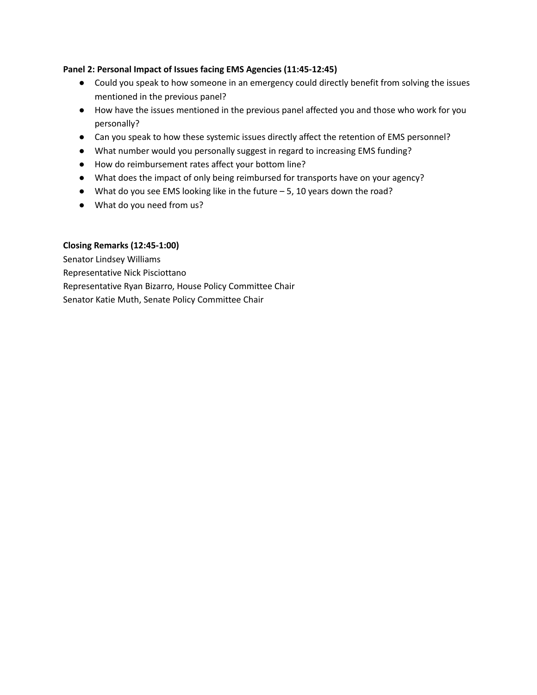### **Panel 2: Personal Impact of Issues facing EMS Agencies (11:45-12:45)**

- Could you speak to how someone in an emergency could directly benefit from solving the issues mentioned in the previous panel?
- How have the issues mentioned in the previous panel affected you and those who work for you personally?
- Can you speak to how these systemic issues directly affect the retention of EMS personnel?
- What number would you personally suggest in regard to increasing EMS funding?
- How do reimbursement rates affect your bottom line?
- What does the impact of only being reimbursed for transports have on your agency?
- What do you see EMS looking like in the future 5, 10 years down the road?
- What do you need from us?

### **Closing Remarks (12:45-1:00)**

Senator Lindsey Williams Representative Nick Pisciottano Representative Ryan Bizarro, House Policy Committee Chair Senator Katie Muth, Senate Policy Committee Chair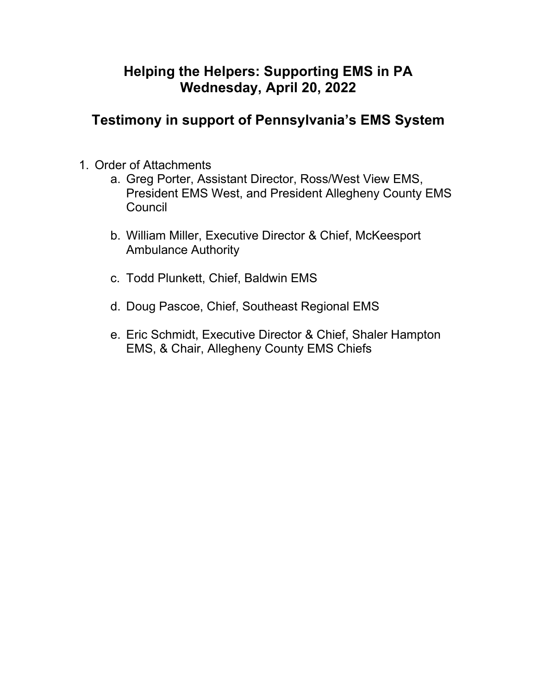# **Helping the Helpers: Supporting EMS in PA Wednesday, April 20, 2022**

# **Testimony in support of Pennsylvania's EMS System**

- 1. Order of Attachments
	- a. Greg Porter, Assistant Director, Ross/West View EMS, President EMS West, and President Allegheny County EMS **Council**
	- b. William Miller, Executive Director & Chief, McKeesport Ambulance Authority
	- c. Todd Plunkett, Chief, Baldwin EMS
	- d. Doug Pascoe, Chief, Southeast Regional EMS
	- e. Eric Schmidt, Executive Director & Chief, Shaler Hampton EMS, & Chair, Allegheny County EMS Chiefs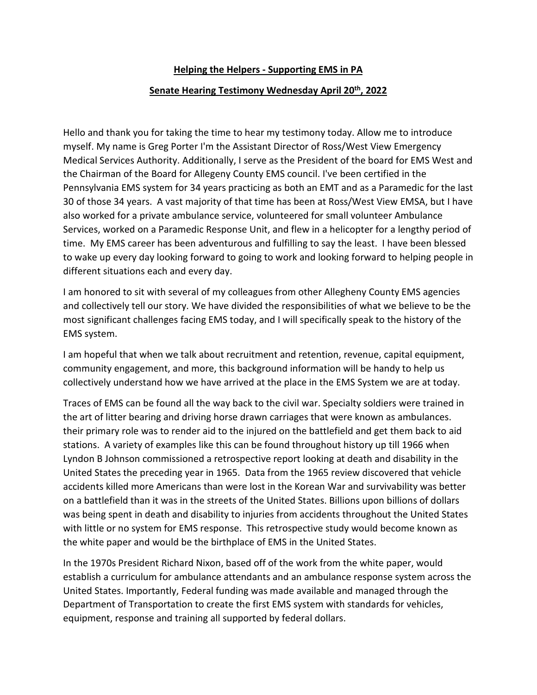## **Helping the Helpers - Supporting EMS in PA**

## Senate Hearing Testimony Wednesday April 20<sup>th</sup>, 2022

Hello and thank you for taking the time to hear my testimony today. Allow me to introduce myself. My name is Greg Porter I'm the Assistant Director of Ross/West View Emergency Medical Services Authority. Additionally, I serve as the President of the board for EMS West and the Chairman of the Board for Allegeny County EMS council. I've been certified in the Pennsylvania EMS system for 34 years practicing as both an EMT and as a Paramedic for the last 30 of those 34 years. A vast majority of that time has been at Ross/West View EMSA, but I have also worked for a private ambulance service, volunteered for small volunteer Ambulance Services, worked on a Paramedic Response Unit, and flew in a helicopter for a lengthy period of time. My EMS career has been adventurous and fulfilling to say the least. I have been blessed to wake up every day looking forward to going to work and looking forward to helping people in different situations each and every day.

I am honored to sit with several of my colleagues from other Allegheny County EMS agencies and collectively tell our story. We have divided the responsibilities of what we believe to be the most significant challenges facing EMS today, and I will specifically speak to the history of the EMS system.

I am hopeful that when we talk about recruitment and retention, revenue, capital equipment, community engagement, and more, this background information will be handy to help us collectively understand how we have arrived at the place in the EMS System we are at today.

Traces of EMS can be found all the way back to the civil war. Specialty soldiers were trained in the art of litter bearing and driving horse drawn carriages that were known as ambulances. their primary role was to render aid to the injured on the battlefield and get them back to aid stations. A variety of examples like this can be found throughout history up till 1966 when Lyndon B Johnson commissioned a retrospective report looking at death and disability in the United States the preceding year in 1965. Data from the 1965 review discovered that vehicle accidents killed more Americans than were lost in the Korean War and survivability was better on a battlefield than it was in the streets of the United States. Billions upon billions of dollars was being spent in death and disability to injuries from accidents throughout the United States with little or no system for EMS response. This retrospective study would become known as the white paper and would be the birthplace of EMS in the United States.

In the 1970s President Richard Nixon, based off of the work from the white paper, would establish a curriculum for ambulance attendants and an ambulance response system across the United States. Importantly, Federal funding was made available and managed through the Department of Transportation to create the first EMS system with standards for vehicles, equipment, response and training all supported by federal dollars.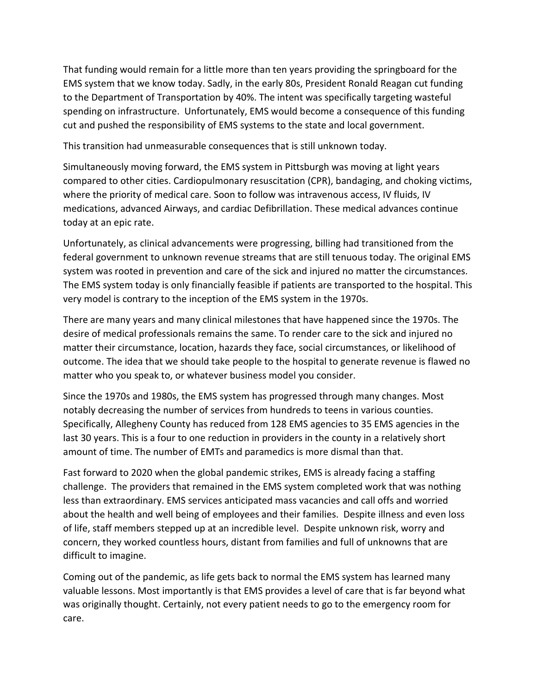That funding would remain for a little more than ten years providing the springboard for the EMS system that we know today. Sadly, in the early 80s, President Ronald Reagan cut funding to the Department of Transportation by 40%. The intent was specifically targeting wasteful spending on infrastructure. Unfortunately, EMS would become a consequence of this funding cut and pushed the responsibility of EMS systems to the state and local government.

This transition had unmeasurable consequences that is still unknown today.

Simultaneously moving forward, the EMS system in Pittsburgh was moving at light years compared to other cities. Cardiopulmonary resuscitation (CPR), bandaging, and choking victims, where the priority of medical care. Soon to follow was intravenous access, IV fluids, IV medications, advanced Airways, and cardiac Defibrillation. These medical advances continue today at an epic rate.

Unfortunately, as clinical advancements were progressing, billing had transitioned from the federal government to unknown revenue streams that are still tenuous today. The original EMS system was rooted in prevention and care of the sick and injured no matter the circumstances. The EMS system today is only financially feasible if patients are transported to the hospital. This very model is contrary to the inception of the EMS system in the 1970s.

There are many years and many clinical milestones that have happened since the 1970s. The desire of medical professionals remains the same. To render care to the sick and injured no matter their circumstance, location, hazards they face, social circumstances, or likelihood of outcome. The idea that we should take people to the hospital to generate revenue is flawed no matter who you speak to, or whatever business model you consider.

Since the 1970s and 1980s, the EMS system has progressed through many changes. Most notably decreasing the number of services from hundreds to teens in various counties. Specifically, Allegheny County has reduced from 128 EMS agencies to 35 EMS agencies in the last 30 years. This is a four to one reduction in providers in the county in a relatively short amount of time. The number of EMTs and paramedics is more dismal than that.

Fast forward to 2020 when the global pandemic strikes, EMS is already facing a staffing challenge. The providers that remained in the EMS system completed work that was nothing less than extraordinary. EMS services anticipated mass vacancies and call offs and worried about the health and well being of employees and their families. Despite illness and even loss of life, staff members stepped up at an incredible level. Despite unknown risk, worry and concern, they worked countless hours, distant from families and full of unknowns that are difficult to imagine.

Coming out of the pandemic, as life gets back to normal the EMS system has learned many valuable lessons. Most importantly is that EMS provides a level of care that is far beyond what was originally thought. Certainly, not every patient needs to go to the emergency room for care.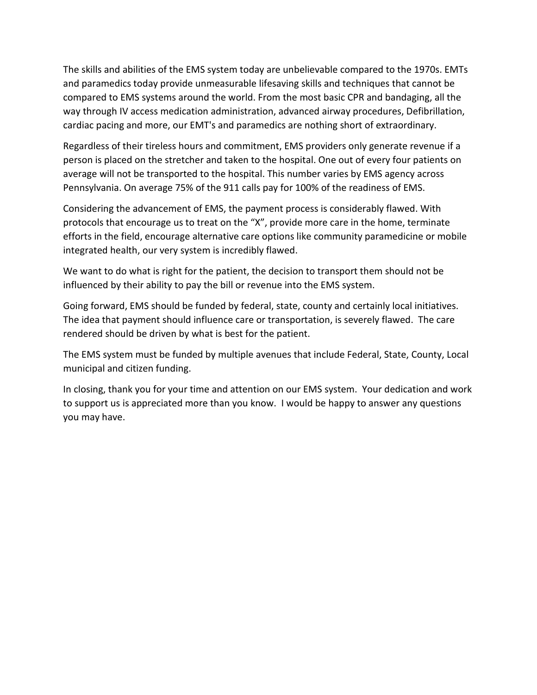The skills and abilities of the EMS system today are unbelievable compared to the 1970s. EMTs and paramedics today provide unmeasurable lifesaving skills and techniques that cannot be compared to EMS systems around the world. From the most basic CPR and bandaging, all the way through IV access medication administration, advanced airway procedures, Defibrillation, cardiac pacing and more, our EMT's and paramedics are nothing short of extraordinary.

Regardless of their tireless hours and commitment, EMS providers only generate revenue if a person is placed on the stretcher and taken to the hospital. One out of every four patients on average will not be transported to the hospital. This number varies by EMS agency across Pennsylvania. On average 75% of the 911 calls pay for 100% of the readiness of EMS.

Considering the advancement of EMS, the payment process is considerably flawed. With protocols that encourage us to treat on the "X", provide more care in the home, terminate efforts in the field, encourage alternative care options like community paramedicine or mobile integrated health, our very system is incredibly flawed.

We want to do what is right for the patient, the decision to transport them should not be influenced by their ability to pay the bill or revenue into the EMS system.

Going forward, EMS should be funded by federal, state, county and certainly local initiatives. The idea that payment should influence care or transportation, is severely flawed. The care rendered should be driven by what is best for the patient.

The EMS system must be funded by multiple avenues that include Federal, State, County, Local municipal and citizen funding.

In closing, thank you for your time and attention on our EMS system. Your dedication and work to support us is appreciated more than you know. I would be happy to answer any questions you may have.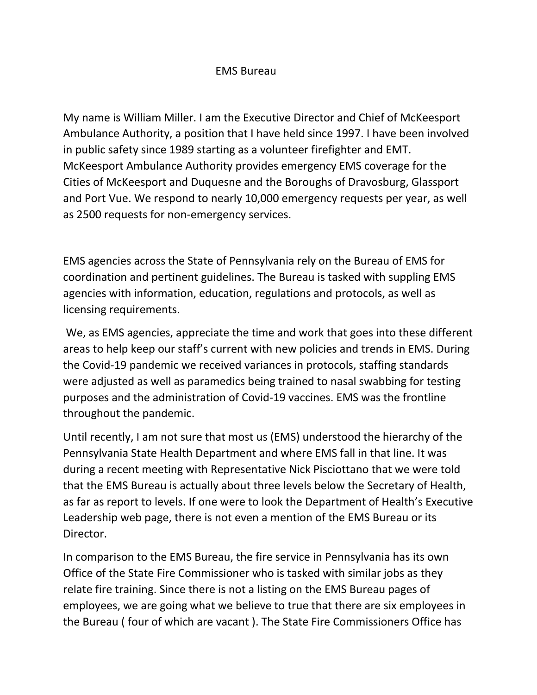# EMS Bureau

My name is William Miller. I am the Executive Director and Chief of McKeesport Ambulance Authority, a position that I have held since 1997. I have been involved in public safety since 1989 starting as a volunteer firefighter and EMT. McKeesport Ambulance Authority provides emergency EMS coverage for the Cities of McKeesport and Duquesne and the Boroughs of Dravosburg, Glassport and Port Vue. We respond to nearly 10,000 emergency requests per year, as well as 2500 requests for non-emergency services.

EMS agencies across the State of Pennsylvania rely on the Bureau of EMS for coordination and pertinent guidelines. The Bureau is tasked with suppling EMS agencies with information, education, regulations and protocols, as well as licensing requirements.

We, as EMS agencies, appreciate the time and work that goes into these different areas to help keep our staff's current with new policies and trends in EMS. During the Covid-19 pandemic we received variances in protocols, staffing standards were adjusted as well as paramedics being trained to nasal swabbing for testing purposes and the administration of Covid-19 vaccines. EMS was the frontline throughout the pandemic.

Until recently, I am not sure that most us (EMS) understood the hierarchy of the Pennsylvania State Health Department and where EMS fall in that line. It was during a recent meeting with Representative Nick Pisciottano that we were told that the EMS Bureau is actually about three levels below the Secretary of Health, as far as report to levels. If one were to look the Department of Health's Executive Leadership web page, there is not even a mention of the EMS Bureau or its Director.

In comparison to the EMS Bureau, the fire service in Pennsylvania has its own Office of the State Fire Commissioner who is tasked with similar jobs as they relate fire training. Since there is not a listing on the EMS Bureau pages of employees, we are going what we believe to true that there are six employees in the Bureau ( four of which are vacant ). The State Fire Commissioners Office has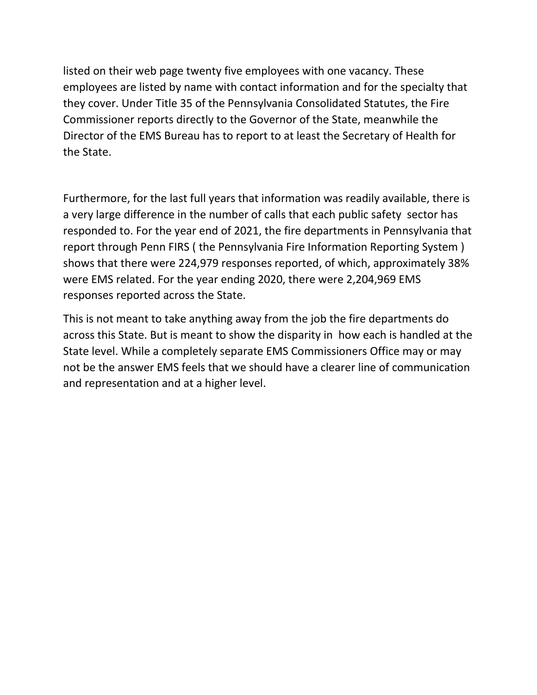listed on their web page twenty five employees with one vacancy. These employees are listed by name with contact information and for the specialty that they cover. Under Title 35 of the Pennsylvania Consolidated Statutes, the Fire Commissioner reports directly to the Governor of the State, meanwhile the Director of the EMS Bureau has to report to at least the Secretary of Health for the State.

Furthermore, for the last full years that information was readily available, there is a very large difference in the number of calls that each public safety sector has responded to. For the year end of 2021, the fire departments in Pennsylvania that report through Penn FIRS ( the Pennsylvania Fire Information Reporting System ) shows that there were 224,979 responses reported, of which, approximately 38% were EMS related. For the year ending 2020, there were 2,204,969 EMS responses reported across the State.

This is not meant to take anything away from the job the fire departments do across this State. But is meant to show the disparity in how each is handled at the State level. While a completely separate EMS Commissioners Office may or may not be the answer EMS feels that we should have a clearer line of communication and representation and at a higher level.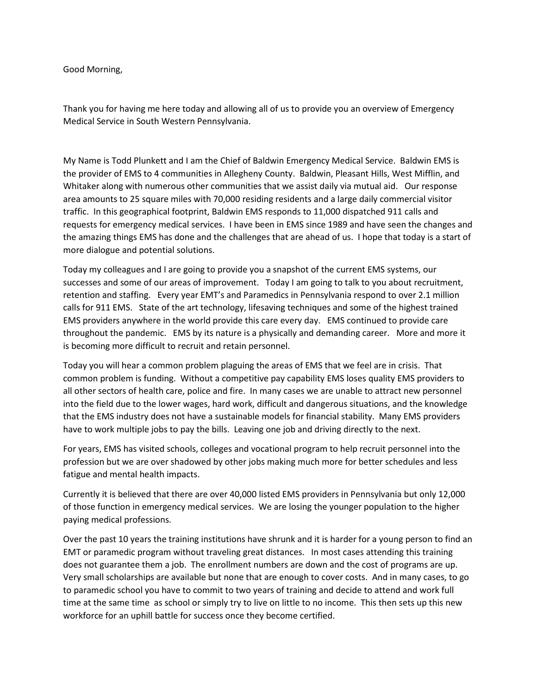Good Morning,

Thank you for having me here today and allowing all of us to provide you an overview of Emergency Medical Service in South Western Pennsylvania.

My Name is Todd Plunkett and I am the Chief of Baldwin Emergency Medical Service. Baldwin EMS is the provider of EMS to 4 communities in Allegheny County. Baldwin, Pleasant Hills, West Mifflin, and Whitaker along with numerous other communities that we assist daily via mutual aid. Our response area amounts to 25 square miles with 70,000 residing residents and a large daily commercial visitor traffic. In this geographical footprint, Baldwin EMS responds to 11,000 dispatched 911 calls and requests for emergency medical services. I have been in EMS since 1989 and have seen the changes and the amazing things EMS has done and the challenges that are ahead of us. I hope that today is a start of more dialogue and potential solutions.

Today my colleagues and I are going to provide you a snapshot of the current EMS systems, our successes and some of our areas of improvement. Today I am going to talk to you about recruitment, retention and staffing. Every year EMT's and Paramedics in Pennsylvania respond to over 2.1 million calls for 911 EMS. State of the art technology, lifesaving techniques and some of the highest trained EMS providers anywhere in the world provide this care every day. EMS continued to provide care throughout the pandemic. EMS by its nature is a physically and demanding career. More and more it is becoming more difficult to recruit and retain personnel.

Today you will hear a common problem plaguing the areas of EMS that we feel are in crisis. That common problem is funding. Without a competitive pay capability EMS loses quality EMS providers to all other sectors of health care, police and fire. In many cases we are unable to attract new personnel into the field due to the lower wages, hard work, difficult and dangerous situations, and the knowledge that the EMS industry does not have a sustainable models for financial stability. Many EMS providers have to work multiple jobs to pay the bills. Leaving one job and driving directly to the next.

For years, EMS has visited schools, colleges and vocational program to help recruit personnel into the profession but we are over shadowed by other jobs making much more for better schedules and less fatigue and mental health impacts.

Currently it is believed that there are over 40,000 listed EMS providers in Pennsylvania but only 12,000 of those function in emergency medical services. We are losing the younger population to the higher paying medical professions.

Over the past 10 years the training institutions have shrunk and it is harder for a young person to find an EMT or paramedic program without traveling great distances. In most cases attending this training does not guarantee them a job. The enrollment numbers are down and the cost of programs are up. Very small scholarships are available but none that are enough to cover costs. And in many cases, to go to paramedic school you have to commit to two years of training and decide to attend and work full time at the same time as school or simply try to live on little to no income. This then sets up this new workforce for an uphill battle for success once they become certified.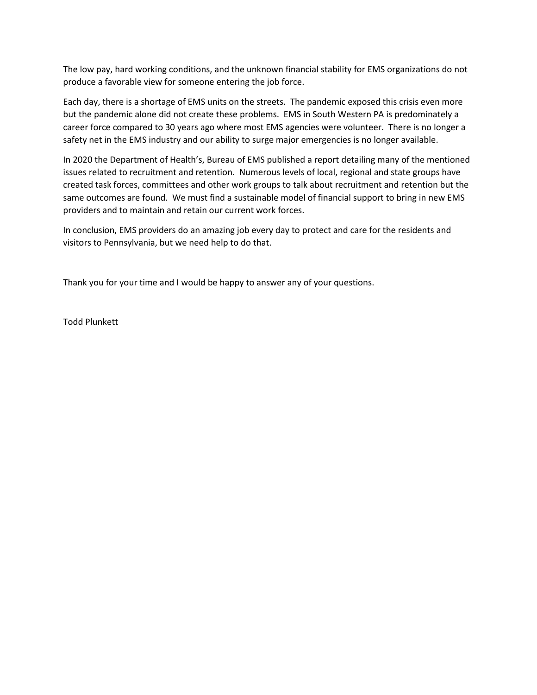The low pay, hard working conditions, and the unknown financial stability for EMS organizations do not produce a favorable view for someone entering the job force.

Each day, there is a shortage of EMS units on the streets. The pandemic exposed this crisis even more but the pandemic alone did not create these problems. EMS in South Western PA is predominately a career force compared to 30 years ago where most EMS agencies were volunteer. There is no longer a safety net in the EMS industry and our ability to surge major emergencies is no longer available.

In 2020 the Department of Health's, Bureau of EMS published a report detailing many of the mentioned issues related to recruitment and retention. Numerous levels of local, regional and state groups have created task forces, committees and other work groups to talk about recruitment and retention but the same outcomes are found. We must find a sustainable model of financial support to bring in new EMS providers and to maintain and retain our current work forces.

In conclusion, EMS providers do an amazing job every day to protect and care for the residents and visitors to Pennsylvania, but we need help to do that.

Thank you for your time and I would be happy to answer any of your questions.

Todd Plunkett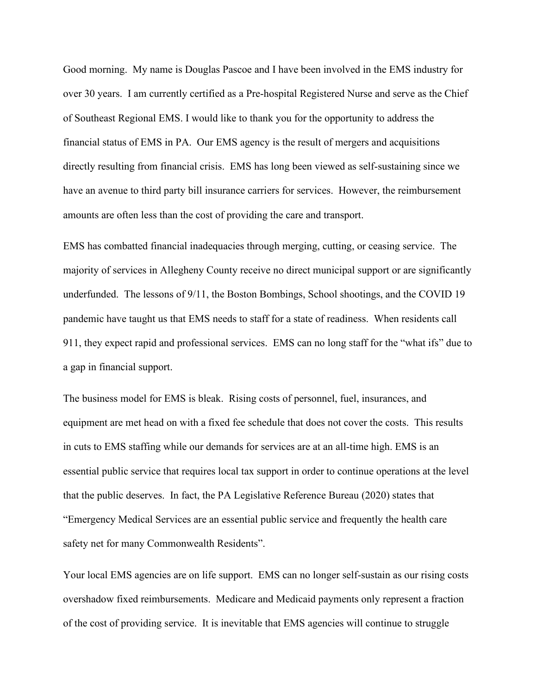Good morning. My name is Douglas Pascoe and I have been involved in the EMS industry for over 30 years. I am currently certified as a Pre-hospital Registered Nurse and serve as the Chief of Southeast Regional EMS. I would like to thank you for the opportunity to address the financial status of EMS in PA. Our EMS agency is the result of mergers and acquisitions directly resulting from financial crisis. EMS has long been viewed as self-sustaining since we have an avenue to third party bill insurance carriers for services. However, the reimbursement amounts are often less than the cost of providing the care and transport.

EMS has combatted financial inadequacies through merging, cutting, or ceasing service. The majority of services in Allegheny County receive no direct municipal support or are significantly underfunded. The lessons of 9/11, the Boston Bombings, School shootings, and the COVID 19 pandemic have taught us that EMS needs to staff for a state of readiness. When residents call 911, they expect rapid and professional services. EMS can no long staff for the "what ifs" due to a gap in financial support.

The business model for EMS is bleak. Rising costs of personnel, fuel, insurances, and equipment are met head on with a fixed fee schedule that does not cover the costs. This results in cuts to EMS staffing while our demands for services are at an all-time high. EMS is an essential public service that requires local tax support in order to continue operations at the level that the public deserves. In fact, the PA Legislative Reference Bureau (2020) states that "Emergency Medical Services are an essential public service and frequently the health care safety net for many Commonwealth Residents".

Your local EMS agencies are on life support. EMS can no longer self-sustain as our rising costs overshadow fixed reimbursements. Medicare and Medicaid payments only represent a fraction of the cost of providing service. It is inevitable that EMS agencies will continue to struggle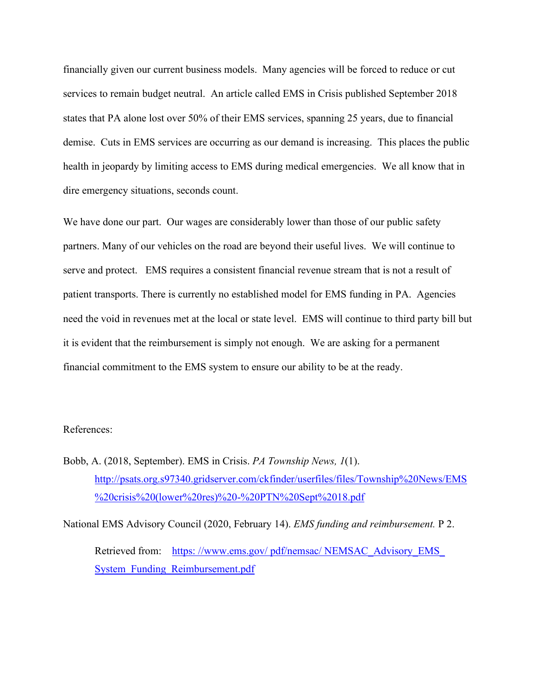financially given our current business models. Many agencies will be forced to reduce or cut services to remain budget neutral. An article called EMS in Crisis published September 2018 states that PA alone lost over 50% of their EMS services, spanning 25 years, due to financial demise. Cuts in EMS services are occurring as our demand is increasing. This places the public health in jeopardy by limiting access to EMS during medical emergencies. We all know that in dire emergency situations, seconds count.

We have done our part. Our wages are considerably lower than those of our public safety partners. Many of our vehicles on the road are beyond their useful lives. We will continue to serve and protect. EMS requires a consistent financial revenue stream that is not a result of patient transports. There is currently no established model for EMS funding in PA. Agencies need the void in revenues met at the local or state level. EMS will continue to third party bill but it is evident that the reimbursement is simply not enough. We are asking for a permanent financial commitment to the EMS system to ensure our ability to be at the ready.

### References:

Bobb, A. (2018, September). EMS in Crisis. *PA Township News, 1*(1). [http://psats.org.s97340.gridserver.com/ckfinder/userfiles/files/Township%20News/EMS](http://psats.org.s97340.gridserver.com/ckfinder/userfiles/files/Township%20News/EMS%20crisis%20(lower%20res)%20-%20PTN%20Sept%2018.pdf) [%20crisis%20\(lower%20res\)%20-%20PTN%20Sept%2018.pdf](http://psats.org.s97340.gridserver.com/ckfinder/userfiles/files/Township%20News/EMS%20crisis%20(lower%20res)%20-%20PTN%20Sept%2018.pdf)

National EMS Advisory Council (2020, February 14). *EMS funding and reimbursement.* P 2. Retrieved from: https://www.ems.gov/pdf/nemsac/NEMSAC\_Advisory\_EMS [System\\_Funding\\_Reimbursement.pdf](https://www.ems.gov/pdf/nemsac/NEMSAC_Advisory_EMS_System_Funding_Reimbursement.pdf)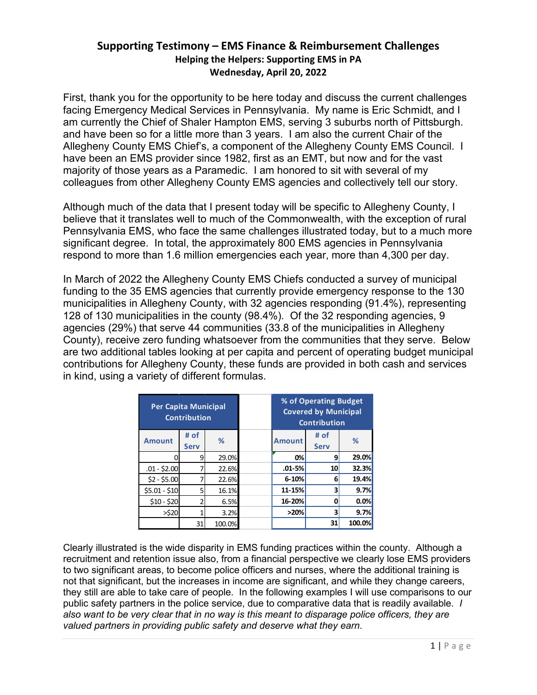# **Supporting Testimony – EMS Finance & Reimbursement Challenges Helping the Helpers: Supporting EMS in PA Wednesday, April 20, 2022**

First, thank you for the opportunity to be here today and discuss the current challenges facing Emergency Medical Services in Pennsylvania. My name is Eric Schmidt, and I am currently the Chief of Shaler Hampton EMS, serving 3 suburbs north of Pittsburgh. and have been so for a little more than 3 years. I am also the current Chair of the Allegheny County EMS Chief's, a component of the Allegheny County EMS Council. I have been an EMS provider since 1982, first as an EMT, but now and for the vast majority of those years as a Paramedic. I am honored to sit with several of my colleagues from other Allegheny County EMS agencies and collectively tell our story.

Although much of the data that I present today will be specific to Allegheny County, I believe that it translates well to much of the Commonwealth, with the exception of rural Pennsylvania EMS, who face the same challenges illustrated today, but to a much more significant degree. In total, the approximately 800 EMS agencies in Pennsylvania respond to more than 1.6 million emergencies each year, more than 4,300 per day.

In March of 2022 the Allegheny County EMS Chiefs conducted a survey of municipal funding to the 35 EMS agencies that currently provide emergency response to the 130 municipalities in Allegheny County, with 32 agencies responding (91.4%), representing 128 of 130 municipalities in the county (98.4%). Of the 32 responding agencies, 9 agencies (29%) that serve 44 communities (33.8 of the municipalities in Allegheny County), receive zero funding whatsoever from the communities that they serve. Below are two additional tables looking at per capita and percent of operating budget municipal contributions for Allegheny County, these funds are provided in both cash and services in kind, using a variety of different formulas.

| Per Capita Municipal | <b>Contribution</b> |        |               | % of Operating Budget<br><b>Covered by Municipal</b><br><b>Contribution</b> |        |
|----------------------|---------------------|--------|---------------|-----------------------------------------------------------------------------|--------|
| <b>Amount</b>        | # of<br><b>Serv</b> | %      | <b>Amount</b> | # of<br><b>Serv</b>                                                         | %      |
|                      | 9                   | 29.0%  | 0%            | 9                                                                           | 29.0%  |
| $.01 - $2.00$        |                     | 22.6%  | $.01 - 5%$    | 10                                                                          | 32.3%  |
| $$2 - $5.00$         |                     | 22.6%  | $6 - 10%$     | 6                                                                           | 19.4%  |
| $$5.01 - $10$        | 5                   | 16.1%  | 11-15%        |                                                                             | 9.7%   |
| $$10 - $20$          |                     | 6.5%   | 16-20%        | Ω                                                                           | 0.0%   |
| >520                 | 3.2%                |        | >20%          | 3                                                                           | 9.7%   |
|                      | 31                  | 100.0% |               | 31                                                                          | 100.0% |

Clearly illustrated is the wide disparity in EMS funding practices within the county. Although a recruitment and retention issue also, from a financial perspective we clearly lose EMS providers to two significant areas, to become police officers and nurses, where the additional training is not that significant, but the increases in income are significant, and while they change careers, they still are able to take care of people. In the following examples I will use comparisons to our public safety partners in the police service, due to comparative data that is readily available. *I also want to be very clear that in no way is this meant to disparage police officers, they are valued partners in providing public safety and deserve what they earn*.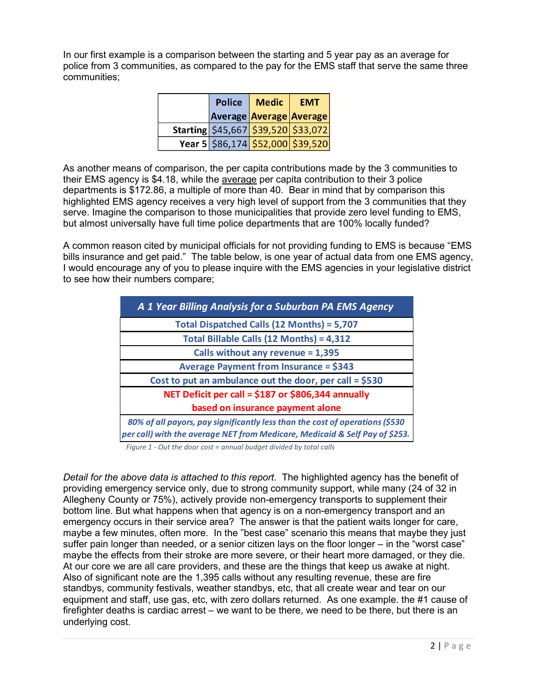In our first example is a comparison between the starting and 5 year pay as an average for police from 3 communities, as compared to the pay for the EMS staff that serve the same three communities;

| <b>Police</b> | <b>Medic</b> | <b>EMT</b>                                  |  |
|---------------|--------------|---------------------------------------------|--|
|               |              | <b>Average Average Average</b>              |  |
|               |              | Starting $\frac{545,667}{539,520}$ \$33,072 |  |
|               |              | Year 5 \$86,174 \$52,000 \$39,520           |  |

As another means of comparison, the per capita contributions made by the 3 communities to their EMS agency is \$4.18, while the average per capita contribution to their 3 police departments is \$172.86, a multiple of more than 40. Bear in mind that by comparison this highlighted EMS agency receives a very high level of support from the 3 communities that they serve. Imagine the comparison to those municipalities that provide zero level funding to EMS, but almost universally have full time police departments that are 100% locally funded?

A common reason cited by municipal officials for not providing funding to EMS is because "EMS bills insurance and get paid." The table below, is one year of actual data from one EMS agency, I would encourage any of you to please inquire with the EMS agencies in your legislative district to see how their numbers compare;

| A 1 Year Billing Analysis for a Suburban PA EMS Agency                                                                                                      |
|-------------------------------------------------------------------------------------------------------------------------------------------------------------|
| Total Dispatched Calls (12 Months) = 5,707                                                                                                                  |
| Total Billable Calls (12 Months) = 4,312                                                                                                                    |
| Calls without any revenue = $1,395$                                                                                                                         |
| <b>Average Payment from Insurance = \$343</b>                                                                                                               |
| Cost to put an ambulance out the door, per call = $$530$                                                                                                    |
| NET Deficit per call = \$187 or \$806,344 annually                                                                                                          |
| based on insurance payment alone                                                                                                                            |
| 80% of all payors, pay significantly less than the cost of operations (\$530<br>per call) with the average NET from Medicare, Medicaid & Self Pay of \$253. |

*Figure 1 - Out the door cost = annual budget divided by total calls*

*Detail for the above data is attached to this report*. The highlighted agency has the benefit of providing emergency service only, due to strong community support, while many (24 of 32 in Allegheny County or 75%), actively provide non-emergency transports to supplement their bottom line. But what happens when that agency is on a non-emergency transport and an emergency occurs in their service area? The answer is that the patient waits longer for care, maybe a few minutes, often more. In the "best case" scenario this means that maybe they just suffer pain longer than needed, or a senior citizen lays on the floor longer – in the "worst case" maybe the effects from their stroke are more severe, or their heart more damaged, or they die. At our core we are all care providers, and these are the things that keep us awake at night. Also of significant note are the 1,395 calls without any resulting revenue, these are fire standbys, community festivals, weather standbys, etc, that all create wear and tear on our equipment and staff, use gas, etc, with zero dollars returned. As one example. the #1 cause of firefighter deaths is cardiac arrest – we want to be there, we need to be there, but there is an underlying cost.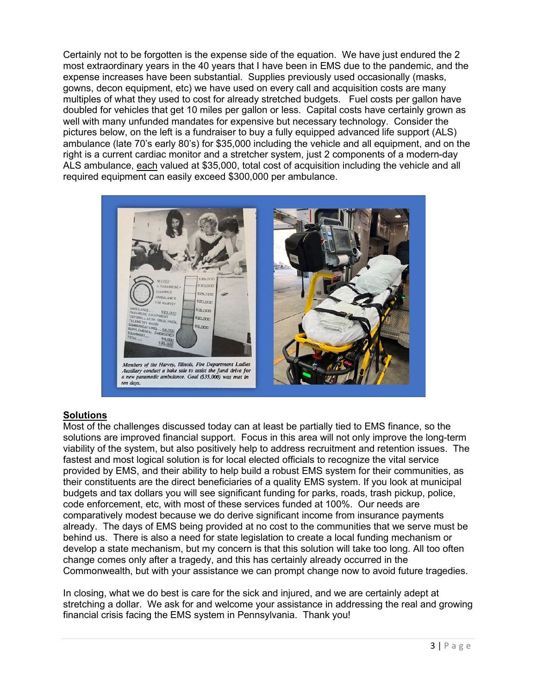Certainly not to be forgotten is the expense side of the equation. We have just endured the 2 most extraordinary years in the 40 years that I have been in EMS due to the pandemic, and the expense increases have been substantial. Supplies previously used occasionally (masks, gowns, decon equipment, etc) we have used on every call and acquisition costs are many multiples of what they used to cost for already stretched budgets. Fuel costs per gallon have doubled for vehicles that get 10 miles per gallon or less. Capital costs have certainly grown as well with many unfunded mandates for expensive but necessary technology. Consider the pictures below, on the left is a fundraiser to buy a fully equipped advanced life support (ALS) ambulance (late 70's early 80's) for \$35,000 including the vehicle and all equipment, and on the right is a current cardiac monitor and a stretcher system, just 2 components of a modern-day ALS ambulance, each valued at \$35,000, total cost of acquisition including the vehicle and all required equipment can easily exceed \$300,000 per ambulance.



## **Solutions**

Most of the challenges discussed today can at least be partially tied to EMS finance, so the solutions are improved financial support. Focus in this area will not only improve the long-term viability of the system, but also positively help to address recruitment and retention issues. The fastest and most logical solution is for local elected officials to recognize the vital service provided by EMS, and their ability to help build a robust EMS system for their communities, as their constituents are the direct beneficiaries of a quality EMS system. If you look at municipal budgets and tax dollars you will see significant funding for parks, roads, trash pickup, police, code enforcement, etc, with most of these services funded at 100%. Our needs are comparatively modest because we do derive significant income from insurance payments already. The days of EMS being provided at no cost to the communities that we serve must be behind us. There is also a need for state legislation to create a local funding mechanism or develop a state mechanism, but my concern is that this solution will take too long. All too often change comes only after a tragedy, and this has certainly already occurred in the Commonwealth, but with your assistance we can prompt change now to avoid future tragedies.

In closing, what we do best is care for the sick and injured, and we are certainly adept at stretching a dollar. We ask for and welcome your assistance in addressing the real and growing financial crisis facing the EMS system in Pennsylvania. Thank you!